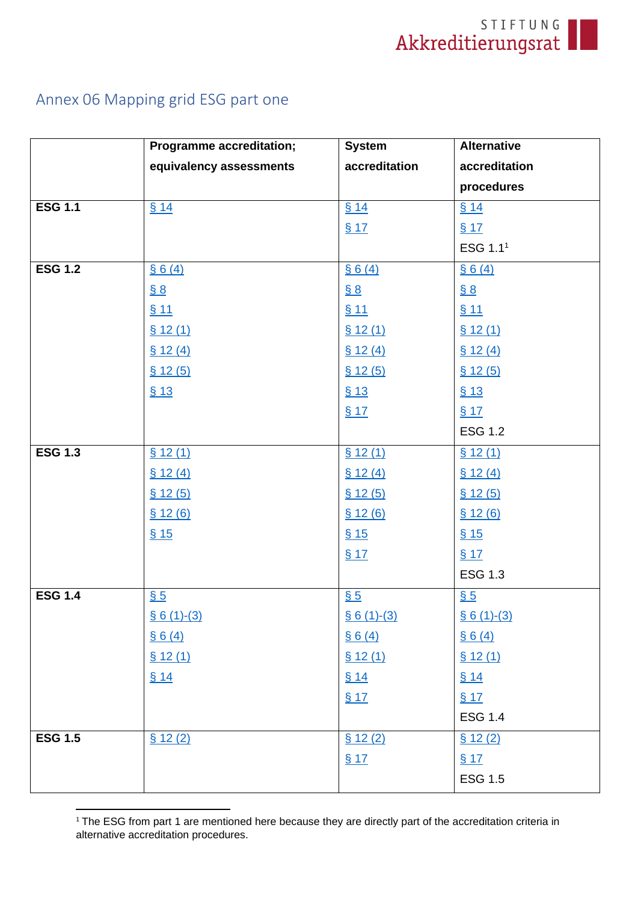

# Annex 06 Mapping grid ESG part one

|                | <b>Programme accreditation;</b> | <b>System</b>      | <b>Alternative</b>   |
|----------------|---------------------------------|--------------------|----------------------|
|                | equivalency assessments         | accreditation      | accreditation        |
|                |                                 |                    | procedures           |
| <b>ESG 1.1</b> | \$14                            | \$14               | \$14                 |
|                |                                 | \$17               | \$17                 |
|                |                                 |                    | ESG 1.1 <sup>1</sup> |
| <b>ESG 1.2</b> | § 6(4)                          | § 6(4)             | § 6(4)               |
|                | $\underline{\S 8}$              | $\underline{\S 8}$ | $\underline{\S 8}$   |
|                | \$11                            | \$11               | <u>§ 11</u>          |
|                | \$12(1)                         | \$12(1)            | \$12(1)              |
|                | \$12(4)                         | \$12(4)            | \$12(4)              |
|                | \$12(5)                         | \$12(5)            | \$12(5)              |
|                | \$13                            | \$13               | \$13                 |
|                |                                 | \$17               | \$17                 |
|                |                                 |                    | <b>ESG 1.2</b>       |
| <b>ESG 1.3</b> | \$12(1)                         | \$12(1)            | \$12(1)              |
|                | \$12(4)                         | \$12(4)            | \$12(4)              |
|                | \$12(5)                         | \$12(5)            | \$12(5)              |
|                | \$12(6)                         | \$12(6)            | \$12(6)              |
|                | \$15                            | \$15               | \$15                 |
|                |                                 | \$17               | \$17                 |
|                |                                 |                    | <b>ESG 1.3</b>       |
| <b>ESG 1.4</b> | $\underline{\$5}$               | $\underline{\$5}$  | $\underline{\$5}$    |
|                | $§ 6(1)-(3)$                    | $$6(1)-(3)$        | $§ 6(1)-(3)$         |
|                | \$6(4)                          | § 6(4)             | § 6(4)               |
|                | \$12(1)                         | \$12(1)            | \$12(1)              |
|                | \$14                            | \$14               | § 14                 |
|                |                                 | \$17               | \$17                 |
|                |                                 |                    | <b>ESG 1.4</b>       |
| <b>ESG 1.5</b> | \$12(2)                         | \$12(2)            | \$12(2)              |
|                |                                 | \$17               | \$17                 |
|                |                                 |                    | <b>ESG 1.5</b>       |

<sup>&</sup>lt;sup>1</sup> The ESG from part 1 are mentioned here because they are directly part of the accreditation criteria in alternative accreditation procedures.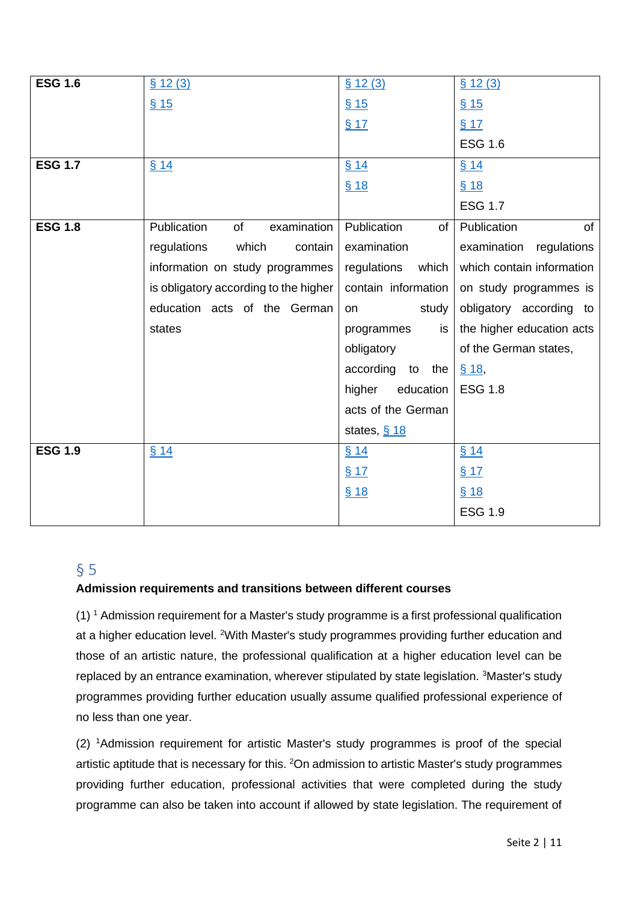| <b>ESG 1.6</b> | \$12(3)                               | \$12(3)              | \$12(3)                   |
|----------------|---------------------------------------|----------------------|---------------------------|
|                | \$15                                  | \$15                 | \$15                      |
|                |                                       | \$17                 | \$17                      |
|                |                                       |                      | <b>ESG 1.6</b>            |
| <b>ESG 1.7</b> | \$14                                  | \$14                 | \$14                      |
|                |                                       | \$18                 | \$18                      |
|                |                                       |                      | <b>ESG 1.7</b>            |
| <b>ESG 1.8</b> | Publication<br>of<br>examination      | Publication<br>of    | Publication<br>of         |
|                | which<br>regulations<br>contain       | examination          | examination regulations   |
|                | information on study programmes       | regulations<br>which | which contain information |
|                | is obligatory according to the higher | contain information  | on study programmes is    |
|                | education acts of the German          | study<br><b>on</b>   | obligatory according to   |
|                | states                                | programmes<br>is     | the higher education acts |
|                |                                       | obligatory           | of the German states,     |
|                |                                       | according<br>to the  | \$18,                     |
|                |                                       | higher<br>education  | <b>ESG 1.8</b>            |
|                |                                       | acts of the German   |                           |
|                |                                       | states, $§ 18$       |                           |
| <b>ESG 1.9</b> | \$14                                  | \$14                 | \$14                      |
|                |                                       | \$17                 | \$17                      |
|                |                                       | \$18                 | \$18                      |
|                |                                       |                      | <b>ESG 1.9</b>            |

# <span id="page-1-0"></span>§ 5

### **Admission requirements and transitions between different courses**

(1)  $1$  Admission requirement for a Master's study programme is a first professional qualification at a higher education level. <sup>2</sup>With Master's study programmes providing further education and those of an artistic nature, the professional qualification at a higher education level can be replaced by an entrance examination, wherever stipulated by state legislation. <sup>3</sup>Master's study programmes providing further education usually assume qualified professional experience of no less than one year.

(2) <sup>1</sup>Admission requirement for artistic Master's study programmes is proof of the special artistic aptitude that is necessary for this. <sup>2</sup>On admission to artistic Master's study programmes providing further education, professional activities that were completed during the study programme can also be taken into account if allowed by state legislation. The requirement of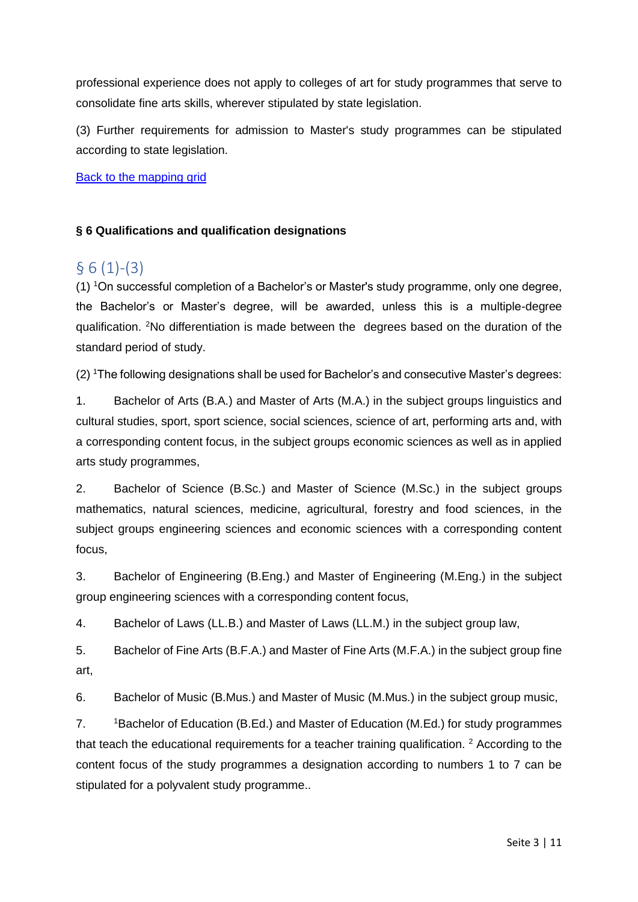professional experience does not apply to colleges of art for study programmes that serve to consolidate fine arts skills, wherever stipulated by state legislation.

(3) Further requirements for admission to Master's study programmes can be stipulated according to state legislation.

Back to the mapping grid

#### **§ 6 Qualifications and qualification designations**

# <span id="page-2-0"></span> $§ 6(1)-(3)$

(1) <sup>1</sup>On successful completion of a Bachelor's or Master's study programme, only one degree, the Bachelor's or Master's degree, will be awarded, unless this is a multiple-degree qualification. <sup>2</sup>No differentiation is made between the degrees based on the duration of the standard period of study.

(2) <sup>1</sup>The following designations shall be used for Bachelor's and consecutive Master's degrees:

1. Bachelor of Arts (B.A.) and Master of Arts (M.A.) in the subject groups linguistics and cultural studies, sport, sport science, social sciences, science of art, performing arts and, with a corresponding content focus, in the subject groups economic sciences as well as in applied arts study programmes,

2. Bachelor of Science (B.Sc.) and Master of Science (M.Sc.) in the subject groups mathematics, natural sciences, medicine, agricultural, forestry and food sciences, in the subject groups engineering sciences and economic sciences with a corresponding content focus,

3. Bachelor of Engineering (B.Eng.) and Master of Engineering (M.Eng.) in the subject group engineering sciences with a corresponding content focus,

4. Bachelor of Laws (LL.B.) and Master of Laws (LL.M.) in the subject group law,

5. Bachelor of Fine Arts (B.F.A.) and Master of Fine Arts (M.F.A.) in the subject group fine art,

6. Bachelor of Music (B.Mus.) and Master of Music (M.Mus.) in the subject group music,

7. <sup>1</sup>Bachelor of Education (B.Ed.) and Master of Education (M.Ed.) for study programmes that teach the educational requirements for a teacher training qualification.  $2$  According to the content focus of the study programmes a designation according to numbers 1 to 7 can be stipulated for a polyvalent study programme..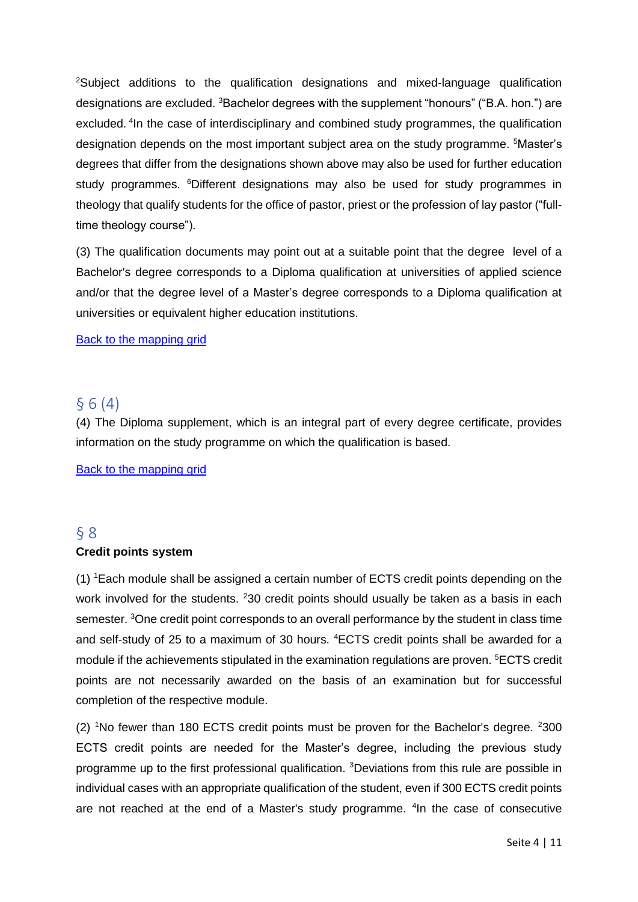<sup>2</sup>Subject additions to the qualification designations and mixed-language qualification designations are excluded. <sup>3</sup>Bachelor degrees with the supplement "honours" ("B.A. hon.") are excluded. <sup>4</sup>In the case of interdisciplinary and combined study programmes, the qualification designation depends on the most important subject area on the study programme. <sup>5</sup>Master's degrees that differ from the designations shown above may also be used for further education study programmes. <sup>6</sup>Different designations may also be used for study programmes in theology that qualify students for the office of pastor, priest or the profession of lay pastor ("fulltime theology course").

(3) The qualification documents may point out at a suitable point that the degree level of a Bachelor's degree corresponds to a Diploma qualification at universities of applied science and/or that the degree level of a Master's degree corresponds to a Diploma qualification at universities or equivalent higher education institutions.

#### Back to the mapping grid

### <span id="page-3-0"></span>§ 6 (4)

(4) The Diploma supplement, which is an integral part of every degree certificate, provides information on the study programme on which the qualification is based.

Back to the mapping grid

## <span id="page-3-1"></span>§ 8 **Credit points system**

(1) <sup>1</sup>Each module shall be assigned a certain number of ECTS credit points depending on the work involved for the students. <sup>2</sup>30 credit points should usually be taken as a basis in each semester. <sup>3</sup>One credit point corresponds to an overall performance by the student in class time and self-study of 25 to a maximum of 30 hours. <sup>4</sup>ECTS credit points shall be awarded for a module if the achievements stipulated in the examination regulations are proven. <sup>5</sup>ECTS credit points are not necessarily awarded on the basis of an examination but for successful completion of the respective module.

(2) <sup>1</sup>No fewer than 180 ECTS credit points must be proven for the Bachelor's degree. <sup>2</sup>300 ECTS credit points are needed for the Master's degree, including the previous study programme up to the first professional qualification. <sup>3</sup>Deviations from this rule are possible in individual cases with an appropriate qualification of the student, even if 300 ECTS credit points are not reached at the end of a Master's study programme. <sup>4</sup>In the case of consecutive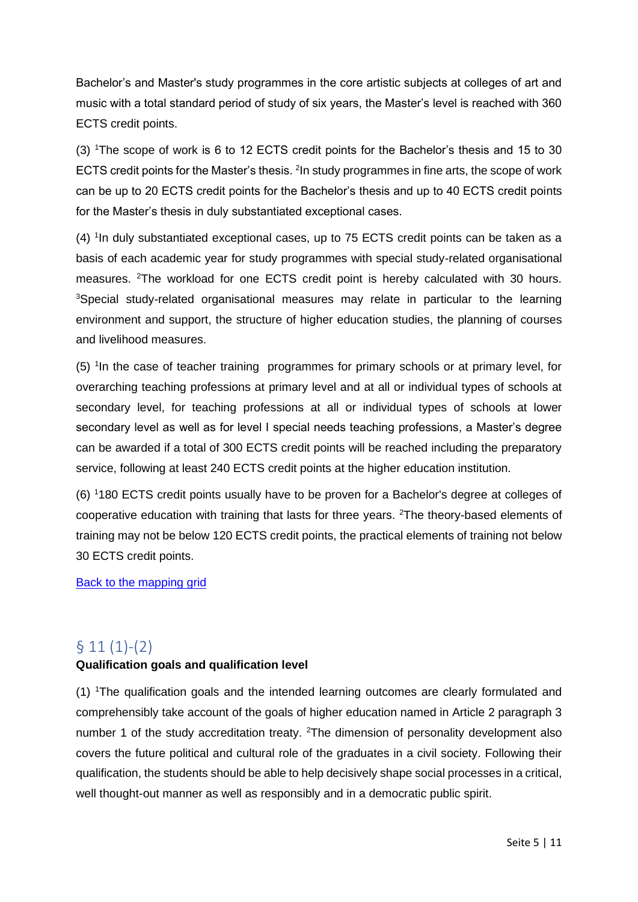Bachelor's and Master's study programmes in the core artistic subjects at colleges of art and music with a total standard period of study of six years, the Master's level is reached with 360 ECTS credit points.

(3) <sup>1</sup>The scope of work is 6 to 12 ECTS credit points for the Bachelor's thesis and 15 to 30 ECTS credit points for the Master's thesis. <sup>2</sup>In study programmes in fine arts, the scope of work can be up to 20 ECTS credit points for the Bachelor's thesis and up to 40 ECTS credit points for the Master's thesis in duly substantiated exceptional cases.

(4) <sup>1</sup>In duly substantiated exceptional cases, up to 75 ECTS credit points can be taken as a basis of each academic year for study programmes with special study-related organisational measures. <sup>2</sup>The workload for one ECTS credit point is hereby calculated with 30 hours. <sup>3</sup>Special study-related organisational measures may relate in particular to the learning environment and support, the structure of higher education studies, the planning of courses and livelihood measures.

(5) <sup>1</sup>In the case of teacher training programmes for primary schools or at primary level, for overarching teaching professions at primary level and at all or individual types of schools at secondary level, for teaching professions at all or individual types of schools at lower secondary level as well as for level I special needs teaching professions, a Master's degree can be awarded if a total of 300 ECTS credit points will be reached including the preparatory service, following at least 240 ECTS credit points at the higher education institution.

(6) <sup>1</sup>180 ECTS credit points usually have to be proven for a Bachelor's degree at colleges of cooperative education with training that lasts for three years. <sup>2</sup>The theory-based elements of training may not be below 120 ECTS credit points, the practical elements of training not below 30 ECTS credit points.

Back to the mapping grid

# <span id="page-4-0"></span> $§ 11(1)-(2)$

### **Qualification goals and qualification level**

(1) <sup>1</sup>The qualification goals and the intended learning outcomes are clearly formulated and comprehensibly take account of the goals of higher education named in Article 2 paragraph 3 number 1 of the study accreditation treaty. <sup>2</sup>The dimension of personality development also covers the future political and cultural role of the graduates in a civil society. Following their qualification, the students should be able to help decisively shape social processes in a critical, well thought-out manner as well as responsibly and in a democratic public spirit.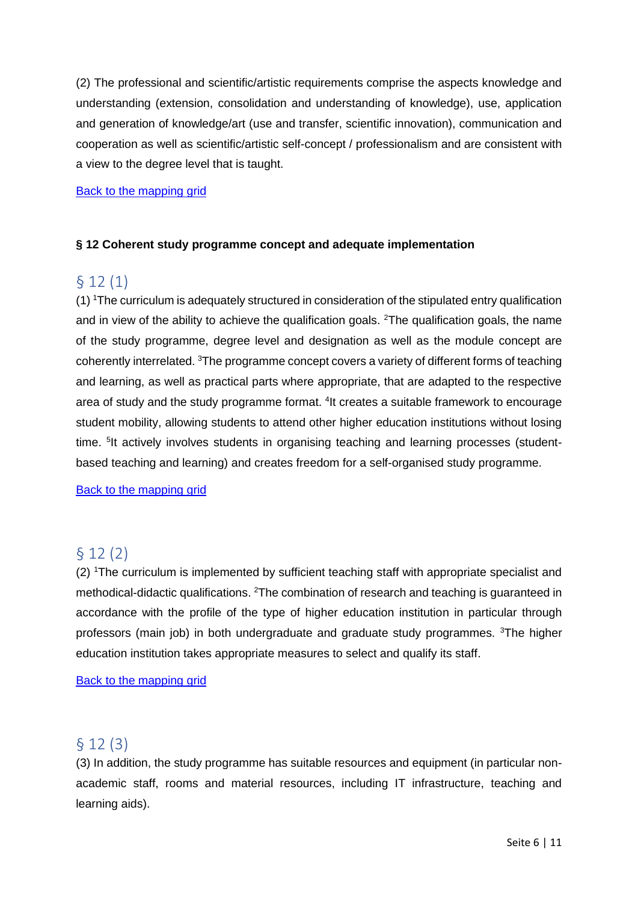(2) The professional and scientific/artistic requirements comprise the aspects knowledge and understanding (extension, consolidation and understanding of knowledge), use, application and generation of knowledge/art (use and transfer, scientific innovation), communication and cooperation as well as scientific/artistic self-concept / professionalism and are consistent with a view to the degree level that is taught.

#### Back to the mapping grid

#### <span id="page-5-0"></span>**§ 12 Coherent study programme concept and adequate implementation**

# § 12 (1)

 $(1)$  <sup>1</sup>The curriculum is adequately structured in consideration of the stipulated entry qualification and in view of the ability to achieve the qualification goals. <sup>2</sup>The qualification goals, the name of the study programme, degree level and designation as well as the module concept are coherently interrelated. <sup>3</sup>The programme concept covers a variety of different forms of teaching and learning, as well as practical parts where appropriate, that are adapted to the respective area of study and the study programme format. <sup>4</sup>It creates a suitable framework to encourage student mobility, allowing students to attend other higher education institutions without losing time. <sup>5</sup>It actively involves students in organising teaching and learning processes (studentbased teaching and learning) and creates freedom for a self-organised study programme.

Back to the mapping grid

# <span id="page-5-1"></span>§ 12 (2)

(2) <sup>1</sup>The curriculum is implemented by sufficient teaching staff with appropriate specialist and methodical-didactic qualifications. <sup>2</sup>The combination of research and teaching is quaranteed in accordance with the profile of the type of higher education institution in particular through professors (main job) in both undergraduate and graduate study programmes. <sup>3</sup>The higher education institution takes appropriate measures to select and qualify its staff.

Back to the mapping grid

# <span id="page-5-2"></span>§ 12 (3)

(3) In addition, the study programme has suitable resources and equipment (in particular nonacademic staff, rooms and material resources, including IT infrastructure, teaching and learning aids).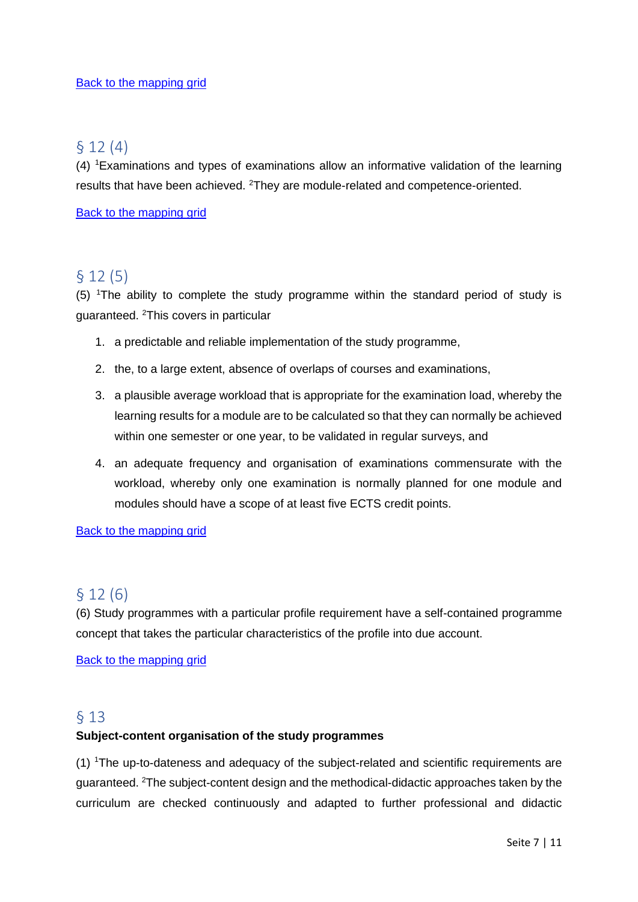### <span id="page-6-0"></span>§ 12 (4)

(4) <sup>1</sup>Examinations and types of examinations allow an informative validation of the learning results that have been achieved. <sup>2</sup>They are module-related and competence-oriented.

Back to the mapping grid

# <span id="page-6-1"></span>§ 12 (5)

(5) <sup>1</sup>The ability to complete the study programme within the standard period of study is guaranteed. <sup>2</sup>This covers in particular

- 1. a predictable and reliable implementation of the study programme,
- 2. the, to a large extent, absence of overlaps of courses and examinations,
- 3. a plausible average workload that is appropriate for the examination load, whereby the learning results for a module are to be calculated so that they can normally be achieved within one semester or one year, to be validated in regular surveys, and
- 4. an adequate frequency and organisation of examinations commensurate with the workload, whereby only one examination is normally planned for one module and modules should have a scope of at least five ECTS credit points.

**Back to the mapping grid** 

# <span id="page-6-3"></span>§ 12 (6)

(6) Study programmes with a particular profile requirement have a self-contained programme concept that takes the particular characteristics of the profile into due account.

Back to the mapping grid

### <span id="page-6-2"></span>§ 13

#### **Subject-content organisation of the study programmes**

(1) <sup>1</sup>The up-to-dateness and adequacy of the subject-related and scientific requirements are guaranteed. <sup>2</sup>The subject-content design and the methodical-didactic approaches taken by the curriculum are checked continuously and adapted to further professional and didactic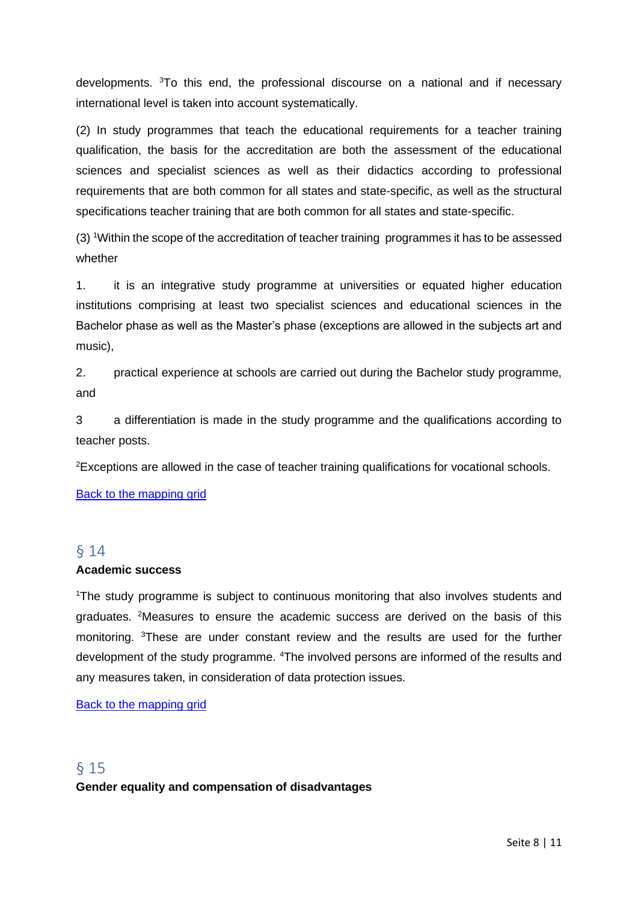developments. <sup>3</sup>To this end, the professional discourse on a national and if necessary international level is taken into account systematically.

(2) In study programmes that teach the educational requirements for a teacher training qualification, the basis for the accreditation are both the assessment of the educational sciences and specialist sciences as well as their didactics according to professional requirements that are both common for all states and state-specific, as well as the structural specifications teacher training that are both common for all states and state-specific.

(3) <sup>1</sup>Within the scope of the accreditation of teacher training programmes it has to be assessed whether

1. it is an integrative study programme at universities or equated higher education institutions comprising at least two specialist sciences and educational sciences in the Bachelor phase as well as the Master's phase (exceptions are allowed in the subjects art and music),

2. practical experience at schools are carried out during the Bachelor study programme, and

3 a differentiation is made in the study programme and the qualifications according to teacher posts.

<sup>2</sup>Exceptions are allowed in the case of teacher training qualifications for vocational schools.

Back to the mapping grid

#### <span id="page-7-0"></span>§ 14 **Academic success**

<sup>1</sup>The study programme is subject to continuous monitoring that also involves students and graduates. <sup>2</sup>Measures to ensure the academic success are derived on the basis of this monitoring. <sup>3</sup>These are under constant review and the results are used for the further development of the study programme. <sup>4</sup>The involved persons are informed of the results and any measures taken, in consideration of data protection issues.

Back to the mapping grid

## <span id="page-7-1"></span>§ 15 **Gender equality and compensation of disadvantages**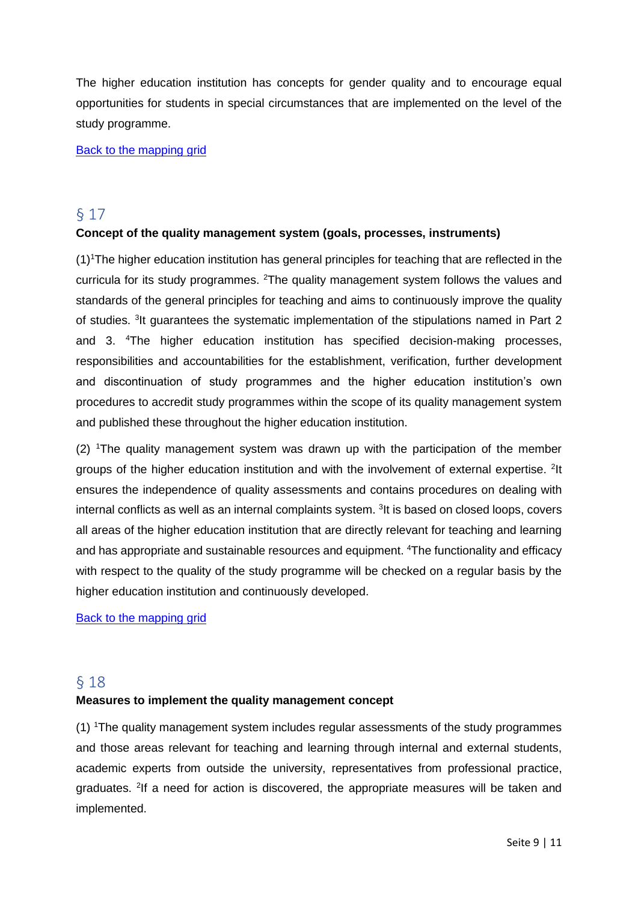The higher education institution has concepts for gender quality and to encourage equal opportunities for students in special circumstances that are implemented on the level of the study programme.

Back to the mapping grid

## <span id="page-8-0"></span>§ 17

#### **Concept of the quality management system (goals, processes, instruments)**

 $(1)$ <sup>1</sup>The higher education institution has general principles for teaching that are reflected in the curricula for its study programmes. <sup>2</sup>The quality management system follows the values and standards of the general principles for teaching and aims to continuously improve the quality of studies. <sup>3</sup>It guarantees the systematic implementation of the stipulations named in Part 2 and 3. <sup>4</sup>The higher education institution has specified decision-making processes, responsibilities and accountabilities for the establishment, verification, further development and discontinuation of study programmes and the higher education institution's own procedures to accredit study programmes within the scope of its quality management system and published these throughout the higher education institution.

(2) <sup>1</sup>The quality management system was drawn up with the participation of the member groups of the higher education institution and with the involvement of external expertise. <sup>2</sup>It ensures the independence of quality assessments and contains procedures on dealing with internal conflicts as well as an internal complaints system. <sup>3</sup>It is based on closed loops, covers all areas of the higher education institution that are directly relevant for teaching and learning and has appropriate and sustainable resources and equipment. <sup>4</sup>The functionality and efficacy with respect to the quality of the study programme will be checked on a regular basis by the higher education institution and continuously developed.

Back to the mapping grid

### <span id="page-8-1"></span>§ 18

#### **Measures to implement the quality management concept**

(1) <sup>1</sup>The quality management system includes regular assessments of the study programmes and those areas relevant for teaching and learning through internal and external students, academic experts from outside the university, representatives from professional practice, graduates. <sup>2</sup>If a need for action is discovered, the appropriate measures will be taken and implemented.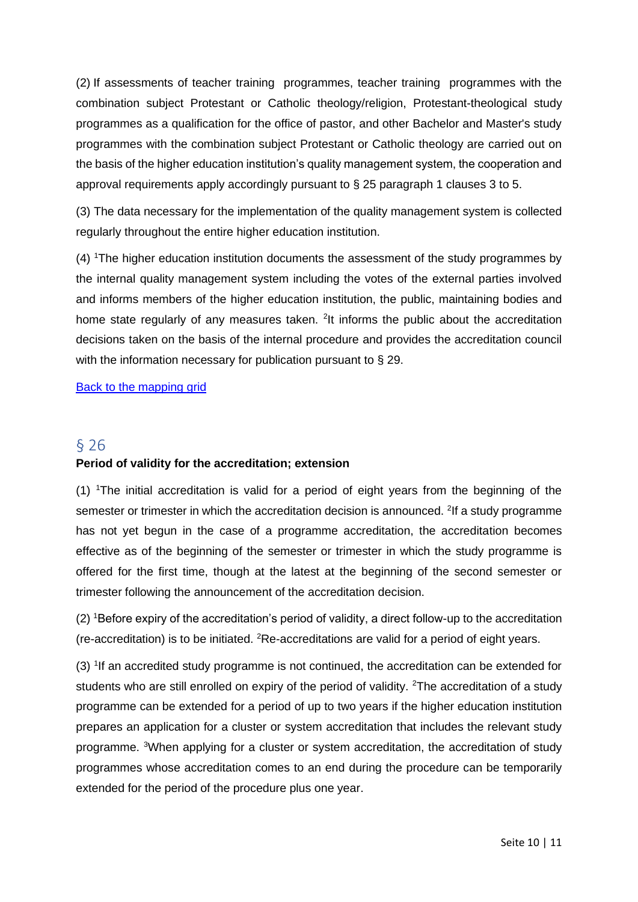(2) If assessments of teacher training programmes, teacher training programmes with the combination subject Protestant or Catholic theology/religion, Protestant-theological study programmes as a qualification for the office of pastor, and other Bachelor and Master's study programmes with the combination subject Protestant or Catholic theology are carried out on the basis of the higher education institution's quality management system, the cooperation and approval requirements apply accordingly pursuant to § 25 paragraph 1 clauses 3 to 5.

(3) The data necessary for the implementation of the quality management system is collected regularly throughout the entire higher education institution.

(4) <sup>1</sup>The higher education institution documents the assessment of the study programmes by the internal quality management system including the votes of the external parties involved and informs members of the higher education institution, the public, maintaining bodies and home state regularly of any measures taken. <sup>2</sup>It informs the public about the accreditation decisions taken on the basis of the internal procedure and provides the accreditation council with the information necessary for publication pursuant to § 29.

Back to the mapping grid

## § 26 **Period of validity for the accreditation; extension**

(1) <sup>1</sup>The initial accreditation is valid for a period of eight years from the beginning of the semester or trimester in which the accreditation decision is announced. <sup>2</sup>If a study programme has not yet begun in the case of a programme accreditation, the accreditation becomes effective as of the beginning of the semester or trimester in which the study programme is offered for the first time, though at the latest at the beginning of the second semester or trimester following the announcement of the accreditation decision.

(2) <sup>1</sup>Before expiry of the accreditation's period of validity, a direct follow-up to the accreditation (re-accreditation) is to be initiated.  ${}^{2}$ Re-accreditations are valid for a period of eight years.

(3) <sup>1</sup>If an accredited study programme is not continued, the accreditation can be extended for students who are still enrolled on expiry of the period of validity. <sup>2</sup>The accreditation of a study programme can be extended for a period of up to two years if the higher education institution prepares an application for a cluster or system accreditation that includes the relevant study programme. <sup>3</sup>When applying for a cluster or system accreditation, the accreditation of study programmes whose accreditation comes to an end during the procedure can be temporarily extended for the period of the procedure plus one year.